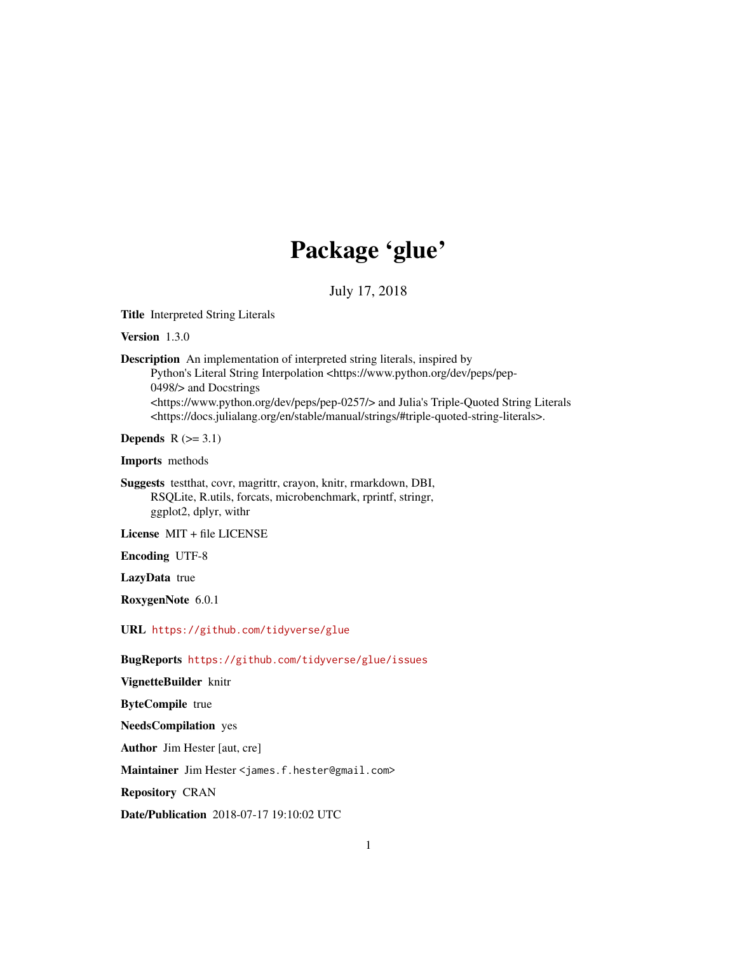## Package 'glue'

July 17, 2018

<span id="page-0-0"></span>Title Interpreted String Literals

Version 1.3.0

Description An implementation of interpreted string literals, inspired by Python's Literal String Interpolation <https://www.python.org/dev/peps/pep-0498/> and Docstrings <https://www.python.org/dev/peps/pep-0257/> and Julia's Triple-Quoted String Literals <https://docs.julialang.org/en/stable/manual/strings/#triple-quoted-string-literals>.

Depends  $R$  ( $>= 3.1$ )

Imports methods

Suggests testthat, covr, magrittr, crayon, knitr, rmarkdown, DBI, RSQLite, R.utils, forcats, microbenchmark, rprintf, stringr, ggplot2, dplyr, withr

License MIT + file LICENSE

Encoding UTF-8

LazyData true

RoxygenNote 6.0.1

URL <https://github.com/tidyverse/glue>

BugReports <https://github.com/tidyverse/glue/issues>

VignetteBuilder knitr ByteCompile true NeedsCompilation yes Author Jim Hester [aut, cre] Maintainer Jim Hester <james.f.hester@gmail.com> Repository CRAN Date/Publication 2018-07-17 19:10:02 UTC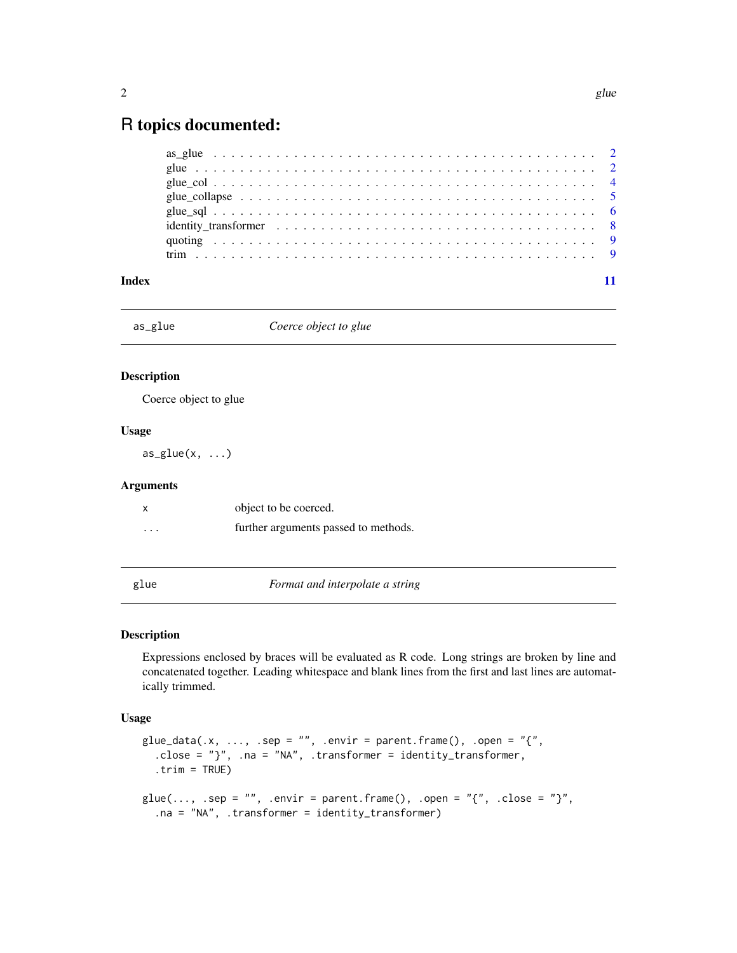### <span id="page-1-0"></span>R topics documented:

| Index |  |
|-------|--|

as\_glue *Coerce object to glue*

#### Description

Coerce object to glue

#### Usage

 $as\_glue(x, \ldots)$ 

#### Arguments

|                      | object to be coerced.                |
|----------------------|--------------------------------------|
| $\ddot{\phantom{0}}$ | further arguments passed to methods. |

glue *Format and interpolate a string*

#### Description

Expressions enclosed by braces will be evaluated as R code. Long strings are broken by line and concatenated together. Leading whitespace and blank lines from the first and last lines are automatically trimmed.

#### Usage

```
glue_data(.x, ..., .sep = "", .envir = parent.frame(), .open = "{",
  .close = "}", .na = "NA", .transformer = identity_transformer,
  .trim = TRUE)
glue(..., .sep = "", .envir = parent.frame(), .open = "{'", .close = "'}",.na = "NA", .transformer = identity_transformer)
```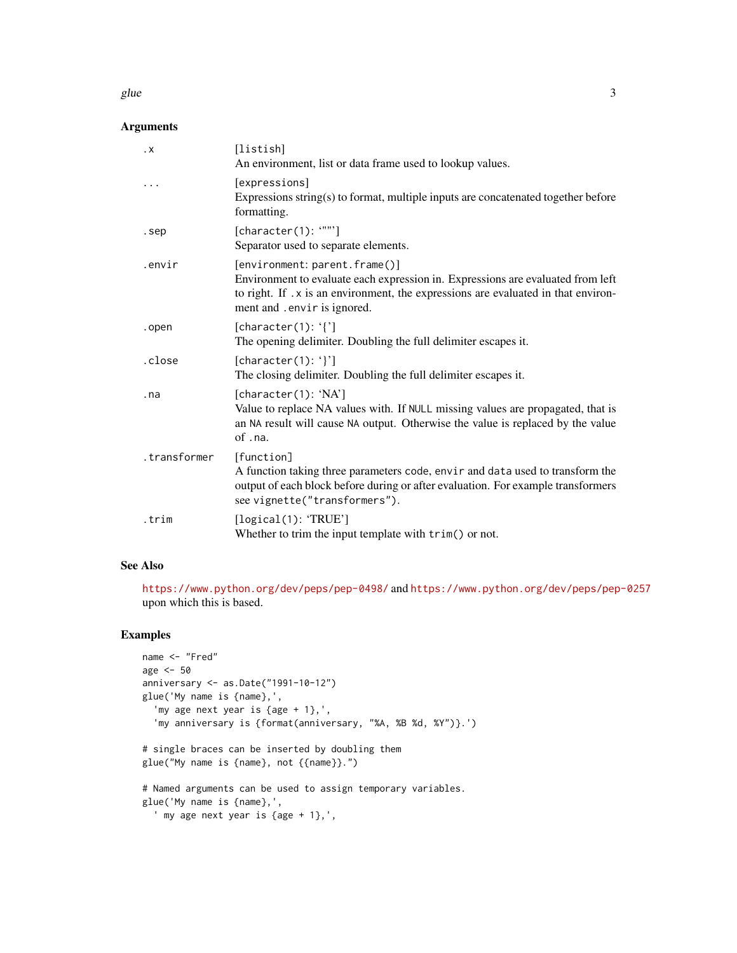#### glue  $\sim$  3

#### Arguments

| $\cdot$ X    | [listish]<br>An environment, list or data frame used to lookup values.                                                                                                                                                                |
|--------------|---------------------------------------------------------------------------------------------------------------------------------------------------------------------------------------------------------------------------------------|
| .            | [expressions]<br>Expressions string(s) to format, multiple inputs are concatenated together before<br>formatting.                                                                                                                     |
| .sep         | [character(1): """]<br>Separator used to separate elements.                                                                                                                                                                           |
| .envir       | [environment: parent.frame()]<br>Environment to evaluate each expression in. Expressions are evaluated from left<br>to right. If . x is an environment, the expressions are evaluated in that environ-<br>ment and .envir is ignored. |
| .open        | [character(1): $'$ [']<br>The opening delimiter. Doubling the full delimiter escapes it.                                                                                                                                              |
| .close       | [character(1): $'$ ]<br>The closing delimiter. Doubling the full delimiter escapes it.                                                                                                                                                |
| .na          | [character(1): 'NA']<br>Value to replace NA values with. If NULL missing values are propagated, that is<br>an NA result will cause NA output. Otherwise the value is replaced by the value<br>$of$ . $na$ .                           |
| .transformer | [function]<br>A function taking three parameters code, envir and data used to transform the<br>output of each block before during or after evaluation. For example transformers<br>see vignette("transformers").                      |
| .trim        | [logical(1): 'TRUE']<br>Whether to trim the input template with $\text{trim}()$ or not.                                                                                                                                               |

#### See Also

<https://www.python.org/dev/peps/pep-0498/> and <https://www.python.org/dev/peps/pep-0257> upon which this is based.

#### Examples

```
name <- "Fred"
age <- 50
anniversary <- as.Date("1991-10-12")
glue('My name is {name},',
  'my age next year is {age + 1},',
  'my anniversary is {format(anniversary, "%A, %B %d, %Y")}.')
# single braces can be inserted by doubling them
glue("My name is {name}, not {{name}}.")
# Named arguments can be used to assign temporary variables.
glue('My name is {name},',
  ' my age next year is {age + 1},',
```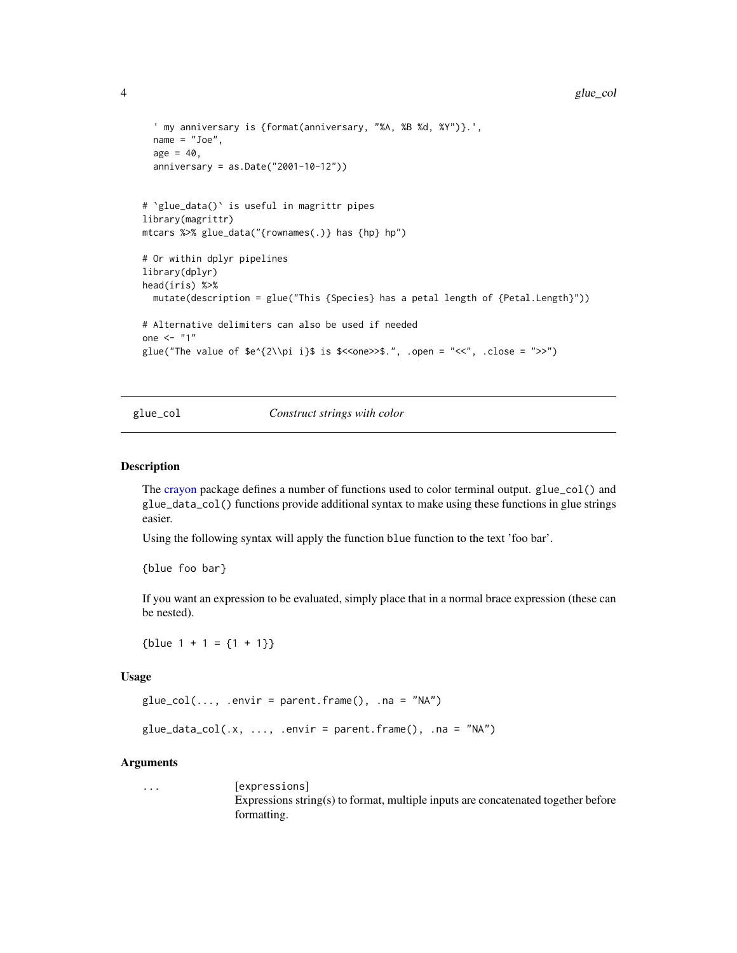```
' my anniversary is {format(anniversary, "%A, %B %d, %Y")}.',
  name = "Joe",
  age = 40,anniversary = as.Date("2001-10-12"))
# `glue_data()` is useful in magrittr pipes
library(magrittr)
mtcars %>% glue_data("{rownames(.)} has {hp} hp")
# Or within dplyr pipelines
library(dplyr)
head(iris) %>%
  mutate(description = glue("This {Species} has a petal length of {Petal.Length}"))
# Alternative delimiters can also be used if needed
one \leq - "1"
glue("The value of e^{2\iota}i}$ is \zeta /one>>$.", .open = "<<", .close = ">>")
```
glue\_col *Construct strings with color*

#### Description

The [crayon](#page-0-0) package defines a number of functions used to color terminal output. glue\_col() and glue\_data\_col() functions provide additional syntax to make using these functions in glue strings easier.

Using the following syntax will apply the function blue function to the text 'foo bar'.

{blue foo bar}

If you want an expression to be evaluated, simply place that in a normal brace expression (these can be nested).

 ${blue 1 + 1 = {1 + 1}}$ 

#### Usage

```
glue\_col(..., .envir = parent-frame(), .na = "NA")
```
 $glue\_data\_col(.x, ..., .envir = parent-frame(), .na = "NA")$ 

#### Arguments

... [expressions] Expressions string(s) to format, multiple inputs are concatenated together before formatting.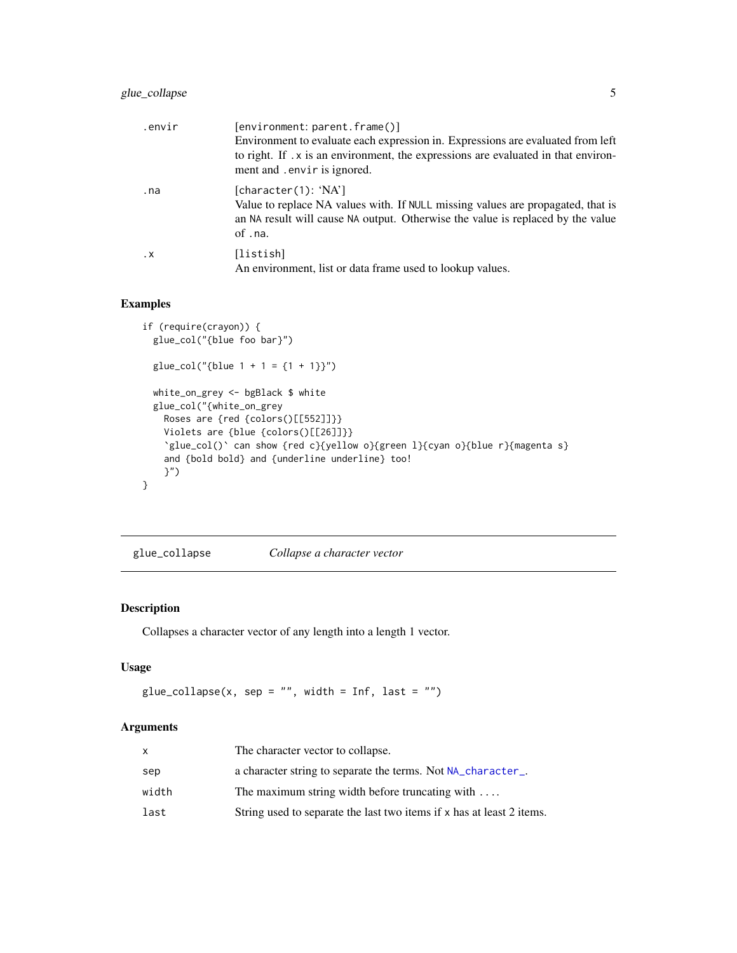<span id="page-4-0"></span>

| .envir    | [environment: parent.frame()]                                                                                                                                                                         |
|-----------|-------------------------------------------------------------------------------------------------------------------------------------------------------------------------------------------------------|
|           | Environment to evaluate each expression in. Expressions are evaluated from left<br>to right. If . x is an environment, the expressions are evaluated in that environ-<br>ment and . envir is ignored. |
| .na       | [character(1): 'NA']<br>Value to replace NA values with. If NULL missing values are propagated, that is<br>an NA result will cause NA output. Otherwise the value is replaced by the value<br>of .na. |
| $\cdot$ X | [listish]<br>An environment, list or data frame used to lookup values.                                                                                                                                |

#### Examples

```
if (require(crayon)) {
  glue_col("{blue foo bar}")
  glue\_col("{blue 1 + 1 = {1 + 1}}")white_on_grey <- bgBlack $ white
  glue_col("{white_on_grey
   Roses are {red {colors()[[552]]}}
   Violets are {blue {colors()[[26]]}}
    `glue_col()` can show {red c}{yellow o}{green l}{cyan o}{blue r}{magenta s}
   and {bold bold} and {underline underline} too!
   }")
}
```
glue\_collapse *Collapse a character vector*

#### Description

Collapses a character vector of any length into a length 1 vector.

#### Usage

```
glue\_collapse(x, sep = "", width = Inf, last = "")
```
#### Arguments

| X     | The character vector to collapse.                                     |
|-------|-----------------------------------------------------------------------|
| sep   | a character string to separate the terms. Not NA_character_.          |
| width | The maximum string width before truncating with $\dots$               |
| last  | String used to separate the last two items if x has at least 2 items. |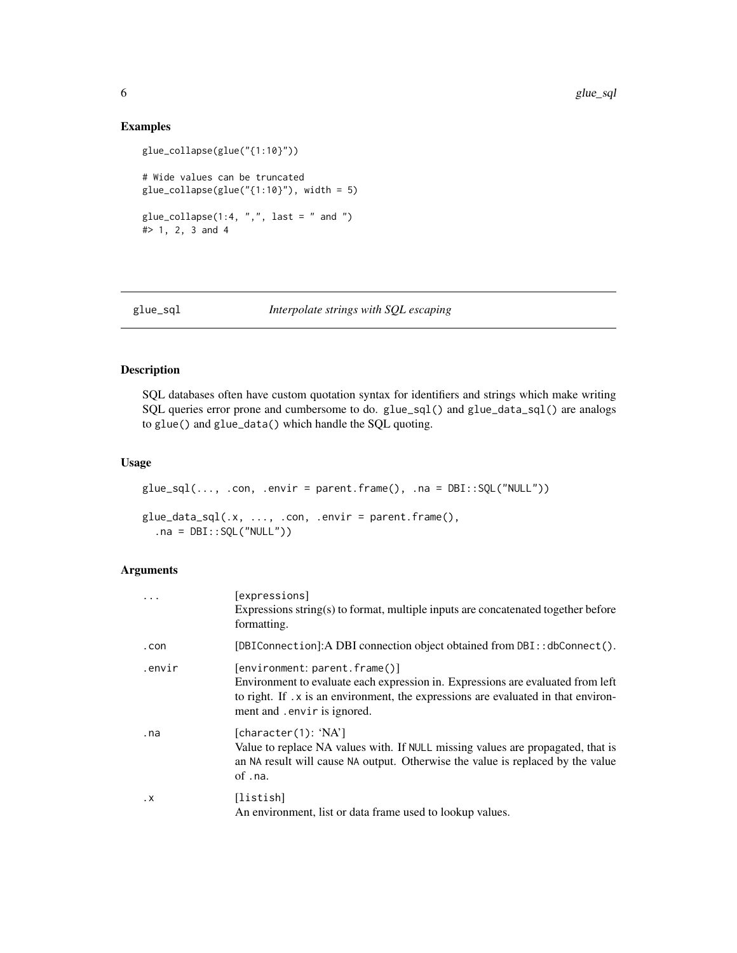#### Examples

```
glue_collapse(glue("{1:10}"))
# Wide values can be truncated
glue_collapse(glue("{1:10}"), width = 5)
glue_collapse(1:4, ",", last = " and ")
#> 1, 2, 3 and 4
```
#### glue\_sql *Interpolate strings with SQL escaping*

#### Description

SQL databases often have custom quotation syntax for identifiers and strings which make writing SQL queries error prone and cumbersome to do. glue\_sql() and glue\_data\_sql() are analogs to glue() and glue\_data() which handle the SQL quoting.

#### Usage

```
glue_sql(..., .con, .envir = parent.frame(), .na = DBI::SQL("NULL"))
glue\_data\_sql(.x, ..., .con, .envir = parent-frame(),.na = DBI::SQL("NULL"))
```
#### Arguments

| $\ddots$  | [expressions]<br>Expressions string(s) to format, multiple inputs are concatenated together before<br>formatting.                                                                                                                            |
|-----------|----------------------------------------------------------------------------------------------------------------------------------------------------------------------------------------------------------------------------------------------|
| .con      | [DBIConnection]: A DBI connection object obtained from DBI: : dbConnect().                                                                                                                                                                   |
| .envir    | $[$ environment: parent.frame $()$ ]<br>Environment to evaluate each expression in. Expressions are evaluated from left<br>to right. If .x is an environment, the expressions are evaluated in that environ-<br>ment and . envir is ignored. |
| .na       | [character(1): 'NA']<br>Value to replace NA values with. If NULL missing values are propagated, that is<br>an NA result will cause NA output. Otherwise the value is replaced by the value<br>of .na.                                        |
| $\cdot$ X | [listish]<br>An environment, list or data frame used to lookup values.                                                                                                                                                                       |

<span id="page-5-0"></span>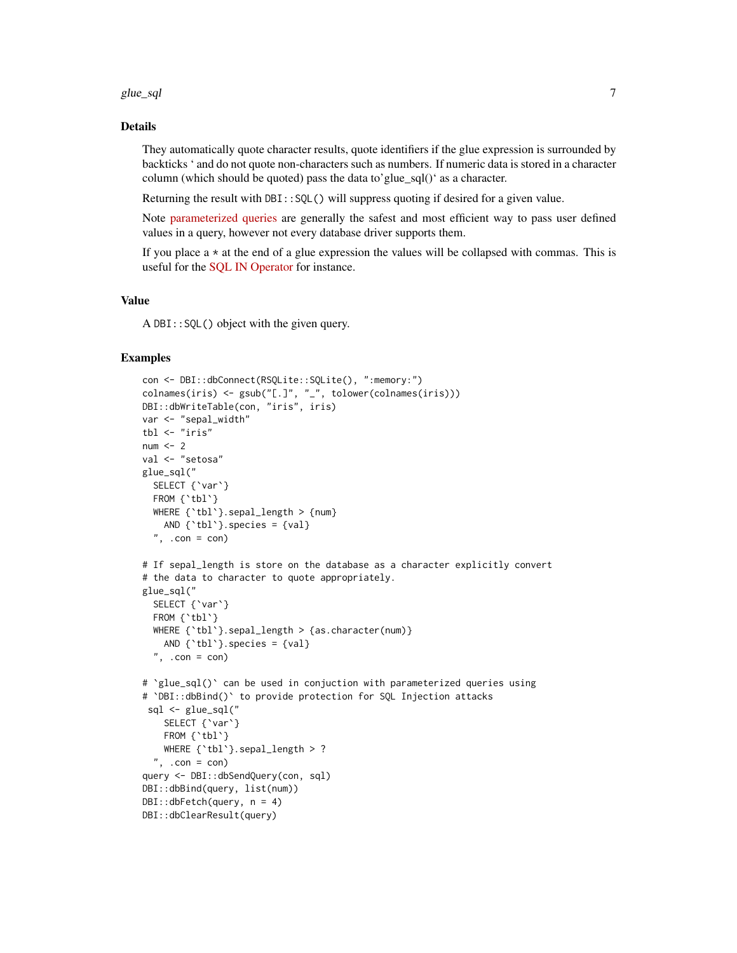glue\_sql 7

#### Details

They automatically quote character results, quote identifiers if the glue expression is surrounded by backticks ' and do not quote non-characters such as numbers. If numeric data is stored in a character column (which should be quoted) pass the data to'glue\_sql()' as a character.

Returning the result with DBI:: SQL() will suppress quoting if desired for a given value.

Note [parameterized queries](https://db.rstudio.com/best-practices/run-queries-safely#parameterized-queries) are generally the safest and most efficient way to pass user defined values in a query, however not every database driver supports them.

If you place  $a \star a$  at the end of a glue expression the values will be collapsed with commas. This is useful for the [SQL IN Operator](https://www.w3schools.com/sql/sql_in.asp) for instance.

#### Value

A DBI::SQL() object with the given query.

#### Examples

```
con <- DBI::dbConnect(RSQLite::SQLite(), ":memory:")
colnames(iris) <- gsub("[.]", "_", tolower(colnames(iris)))
DBI::dbWriteTable(con, "iris", iris)
var <- "sepal_width"
tbl <- "iris"
num < - 2val <- "setosa"
glue_sql("
  SELECT {'var'}
  FROM {`tbl`}
  WHERE {'tbl'}.sepal_length > {num}
   AND {`tbl`}.species = {val}
  ", .con = con)# If sepal_length is store on the database as a character explicitly convert
# the data to character to quote appropriately.
glue_sql("
  SELECT {`var`}
  FROM {'tbl'}
  WHERE {'tbl'}.sepal_length > {as.character(num)}
   AND \{\text{th}\}. species = \{val\}", .con = con)# `glue_sql()` can be used in conjuction with parameterized queries using
# `DBI::dbBind()` to provide protection for SQL Injection attacks
 sql <- glue_sql("
   SELECT {'var'}
   FROM {'tbl'}
    WHERE {'tbl'}.sepal_length > ?
  ", .con = con)query <- DBI::dbSendQuery(con, sql)
DBI::dbBind(query, list(num))
DBI::dbFetch(query, n = 4)
DBI::dbClearResult(query)
```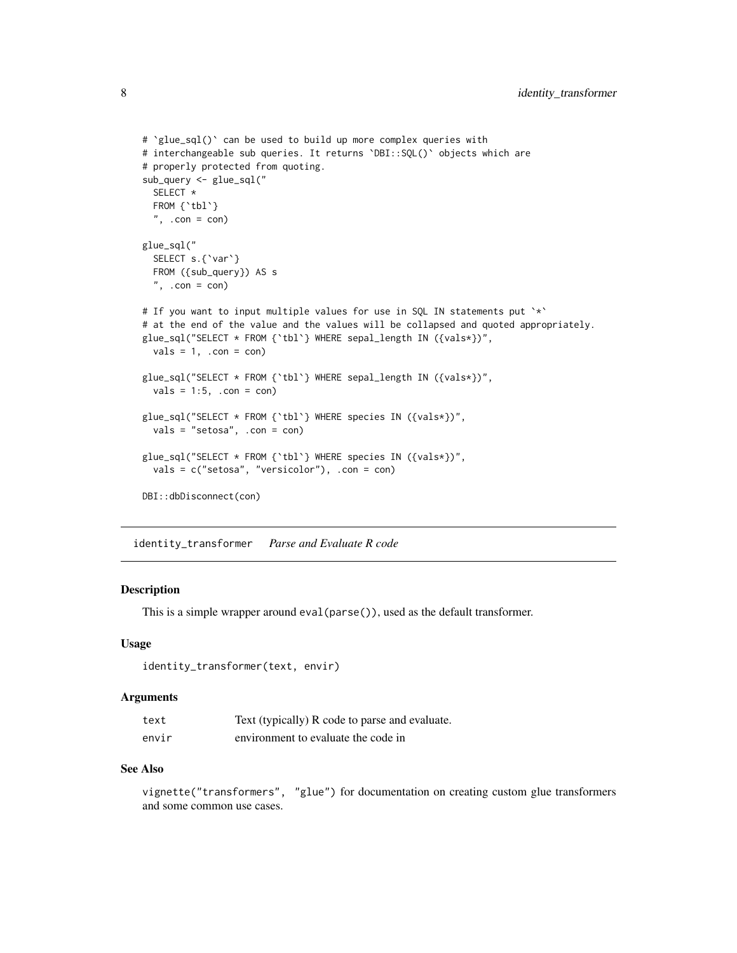```
# `glue_sql()` can be used to build up more complex queries with
# interchangeable sub queries. It returns `DBI::SQL()` objects which are
# properly protected from quoting.
sub_query <- glue_sql("
 SELECT *
 FROM {'tbl'}
 ", .con = con)glue_sql("
 SELECT s.{`var`}
 FROM ({sub_query}) AS s
 ", .con = con)
# If you want to input multiple values for use in SQL IN statements put `*`
# at the end of the value and the values will be collapsed and quoted appropriately.
glue_sql("SELECT * FROM {`tbl`} WHERE sepal_length IN ({vals*})",
 vals = 1, .con = con)glue_sql("SELECT * FROM {`tbl`} WHERE sepal_length IN ({vals*})",
 vals = 1:5, .con = con)glue_sql("SELECT * FROM {`tbl`} WHERE species IN ({vals*})",
 vals = "setosa", .con = con)
glue_sql("SELECT * FROM {`tbl`} WHERE species IN ({vals*})",
 vals = c("setosa", "versicolor"), .con = con)
DBI::dbDisconnect(con)
```
identity\_transformer *Parse and Evaluate R code*

#### Description

This is a simple wrapper around eval(parse()), used as the default transformer.

#### Usage

```
identity_transformer(text, envir)
```
#### Arguments

| text  | Text (typically) R code to parse and evaluate. |
|-------|------------------------------------------------|
| envir | environment to evaluate the code in            |

#### See Also

vignette("transformers", "glue") for documentation on creating custom glue transformers and some common use cases.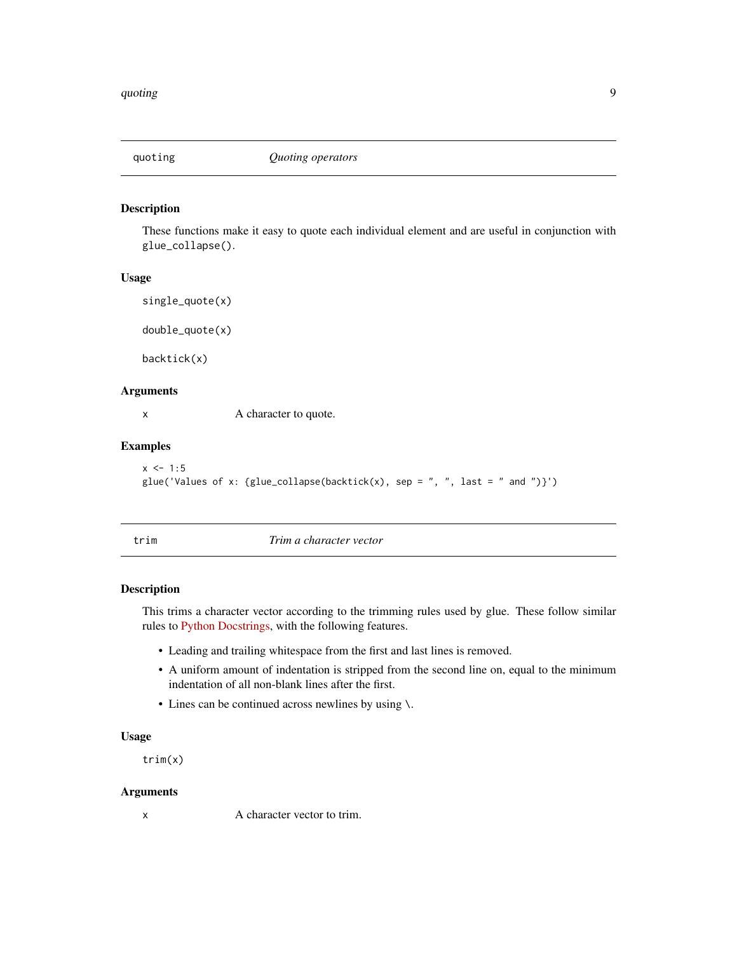<span id="page-8-0"></span>

#### Description

These functions make it easy to quote each individual element and are useful in conjunction with glue\_collapse().

#### Usage

```
single_quote(x)
```
double\_quote(x)

backtick(x)

#### Arguments

x A character to quote.

#### Examples

```
x < -1:5glue('Values of x: {glue_collapse(backtick(x), sep = ", ", last = " and ")}')
```
trim *Trim a character vector*

#### Description

This trims a character vector according to the trimming rules used by glue. These follow similar rules to [Python Docstrings,](https://www.python.org/dev/peps/pep-0257) with the following features.

- Leading and trailing whitespace from the first and last lines is removed.
- A uniform amount of indentation is stripped from the second line on, equal to the minimum indentation of all non-blank lines after the first.
- Lines can be continued across newlines by using \.

#### Usage

trim(x)

#### Arguments

x A character vector to trim.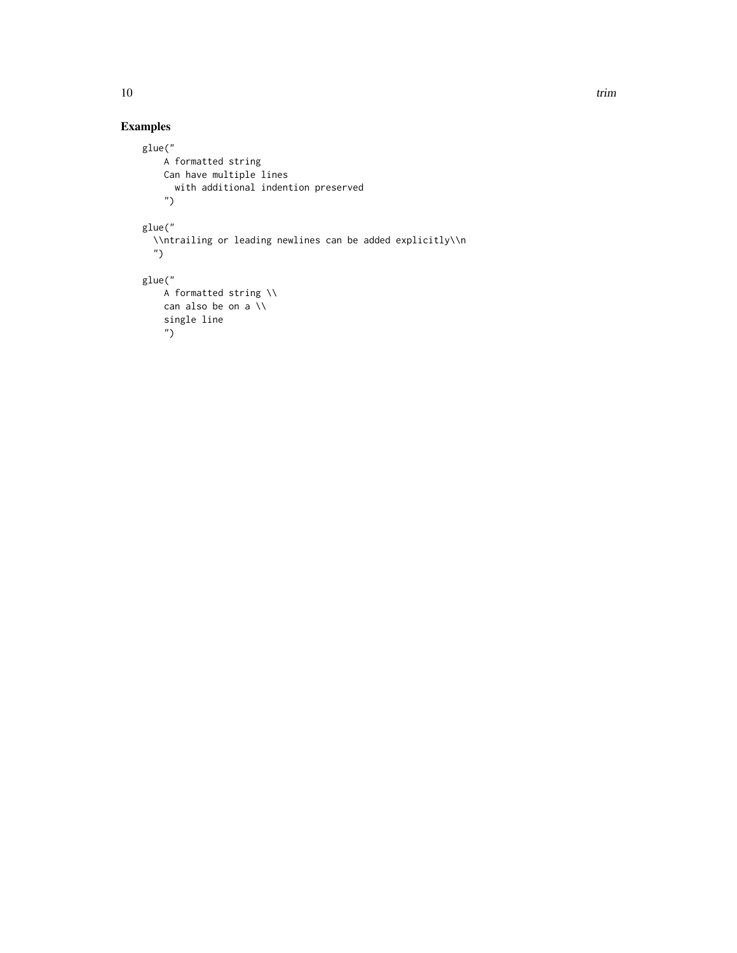#### Examples

```
glue("
   A formatted string
   Can have multiple lines
     with additional indention preserved
   ")
glue("
  \\ntrailing or leading newlines can be added explicitly\\n
  ")
glue("
   A formatted string \\
   can also be on a \\
   single line
   ")
```